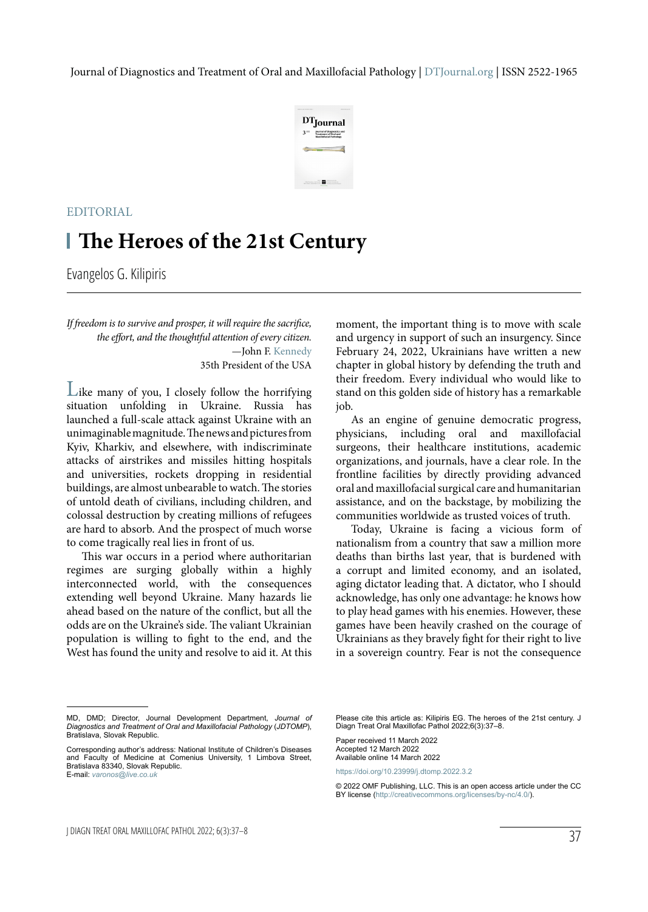

## **The Heroes of the 21st Century** EDITORIAL

Evangelos G. Kilipiris

*If freedom is to survive and prosper, it will require the sacrifice, the effort, and the thoughtful attention of every citizen.* —John F. Kennedy 35th President of the USA

Like many of you, I closely follow the horrifying situation unfolding in Ukraine. Russia has launched a full-scale attack against Ukraine with an unimaginable magnitude. The news and pictures from Kyiv, Kharkiv, and elsewhere, with indiscriminate attacks of airstrikes and missiles hitting hospitals and universities, rockets dropping in residential buildings, are almost unbearable to watch. The stories of untold death of civilians, including children, and colossal destruction by creating millions of refugees are hard to absorb. And the prospect of much worse to come tragically real lies in front of us.

This war occurs in a period where authoritarian regimes are surging globally within a highly interconnected world, with the consequences extending well beyond Ukraine. Many hazards lie ahead based on the nature of the conflict, but all the odds are on the Ukraine's side. The valiant Ukrainian population is willing to fight to the end, and the West has found the unity and resolve to aid it. At this moment, the important thing is to move with scale and urgency in support of such an insurgency. Since February 24, 2022, Ukrainians have written a new chapter in global history by defending the truth and their freedom. Every individual who would like to stand on this golden side of history has a remarkable job.

As an engine of genuine democratic progress, physicians, including oral and maxillofacial surgeons, their healthcare institutions, academic organizations, and journals, have a clear role. In the frontline facilities by directly providing advanced oral and maxillofacial surgical care and humanitarian assistance, and on the backstage, by mobilizing the communities worldwide as trusted voices of truth.

Today, Ukraine is facing a vicious form of nationalism from a country that saw a million more deaths than births last year, that is burdened with a corrupt and limited economy, and an isolated, aging dictator leading that. A dictator, who I should acknowledge, has only one advantage: he knows how to play head games with his enemies. However, these games have been heavily crashed on the courage of Ukrainians as they bravely fight for their right to live in a sovereign country. Fear is not the consequence

Please cite this article as: Kilipiris EG. The heroes of the 21st century. J Diagn Treat Oral Maxillofac Pathol 2022;6(3):37–8.

Paper received 11 March 2022 Accepted 12 March 2022 Available online 14 March 2022

https://doi.org/10.23999/j.dtomp.2022.3.2

© 2022 OMF Publishing, LLC. This is an open access article under the CC BY license (http://creativecommons.org/licenses/by-nc/4.0/).

MD, DMD; Director, Journal Development Department, *Journal of Diagnostics and Treatment of Oral and Maxillofacial Pathology* (*JDTOMP*), Bratislava, Slovak Republic.

Corresponding author's address: National Institute of Children's Diseases and Faculty of Medicine at Comenius University, 1 Limbova Street, Bratislava 83340, Slovak Republic. E-mail: *varonos@live.co.uk*